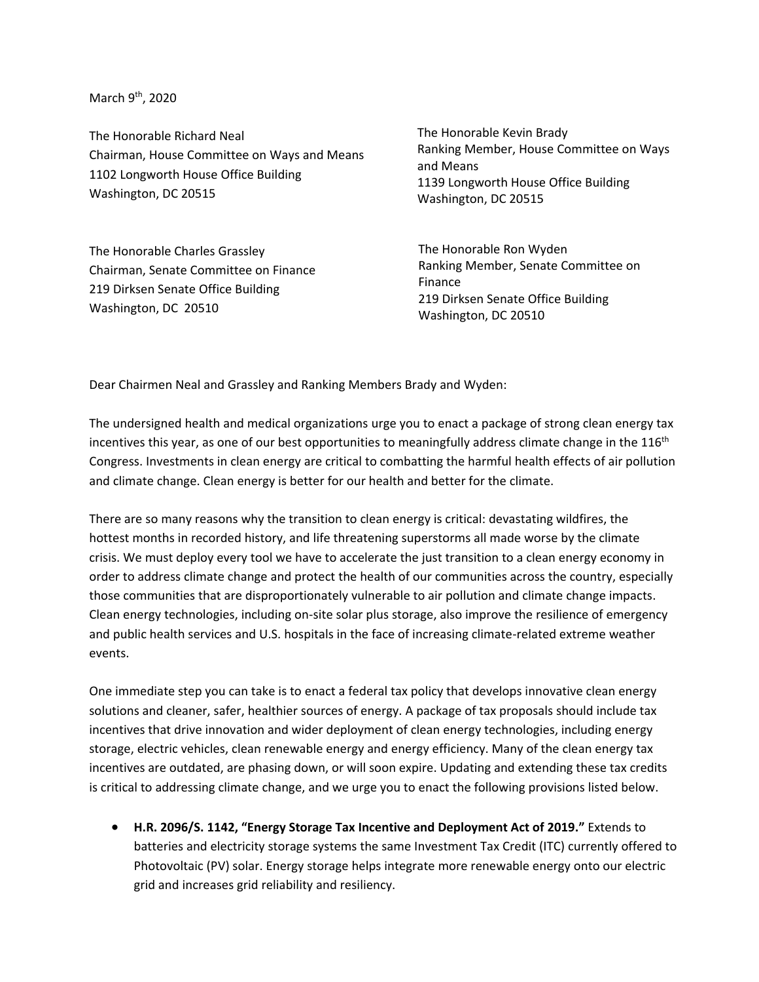March 9<sup>th</sup>, 2020

The Honorable Richard Neal Chairman, House Committee on Ways and Means 1102 Longworth House Office Building Washington, DC 20515

The Honorable Charles Grassley Chairman, Senate Committee on Finance 219 Dirksen Senate Office Building Washington, DC 20510

The Honorable Kevin Brady Ranking Member, House Committee on Ways and Means 1139 Longworth House Office Building Washington, DC 20515

The Honorable Ron Wyden Ranking Member, Senate Committee on Finance 219 Dirksen Senate Office Building Washington, DC 20510

Dear Chairmen Neal and Grassley and Ranking Members Brady and Wyden:

The undersigned health and medical organizations urge you to enact a package of strong clean energy tax incentives this year, as one of our best opportunities to meaningfully address climate change in the 116<sup>th</sup> Congress. Investments in clean energy are critical to combatting the harmful health effects of air pollution and climate change. Clean energy is better for our health and better for the climate.

There are so many reasons why the transition to clean energy is critical: devastating wildfires, the hottest months in recorded history, and life threatening superstorms all made worse by the climate crisis. We must deploy every tool we have to accelerate the just transition to a clean energy economy in order to address climate change and protect the health of our communities across the country, especially those communities that are disproportionately vulnerable to air pollution and climate change impacts. Clean energy technologies, including on-site solar plus storage, also improve the resilience of emergency and public health services and U.S. hospitals in the face of increasing climate-related extreme weather events.

One immediate step you can take is to enact a federal tax policy that develops innovative clean energy solutions and cleaner, safer, healthier sources of energy. A package of tax proposals should include tax incentives that drive innovation and wider deployment of clean energy technologies, including energy storage, electric vehicles, clean renewable energy and energy efficiency. Many of the clean energy tax incentives are outdated, are phasing down, or will soon expire. Updating and extending these tax credits is critical to addressing climate change, and we urge you to enact the following provisions listed below.

 **H.R. 2096/S. 1142, "Energy Storage Tax Incentive and Deployment Act of 2019."** Extends to batteries and electricity storage systems the same Investment Tax Credit (ITC) currently offered to Photovoltaic (PV) solar. Energy storage helps integrate more renewable energy onto our electric grid and increases grid reliability and resiliency.